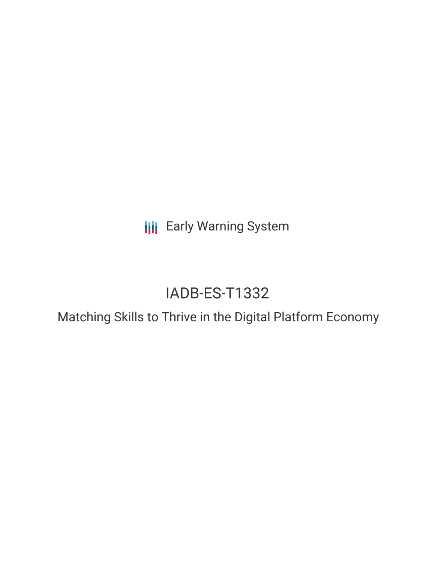**III** Early Warning System

# IADB-ES-T1332

Matching Skills to Thrive in the Digital Platform Economy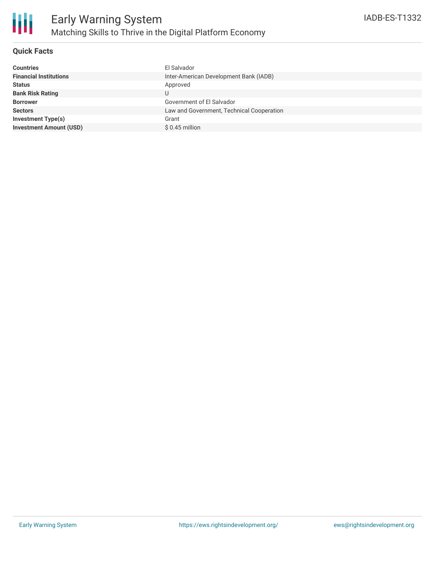

# **Quick Facts**

| El Salvador                               |
|-------------------------------------------|
| Inter-American Development Bank (IADB)    |
| Approved                                  |
| U                                         |
| Government of El Salvador                 |
| Law and Government, Technical Cooperation |
| Grant                                     |
| $$0.45$ million                           |
|                                           |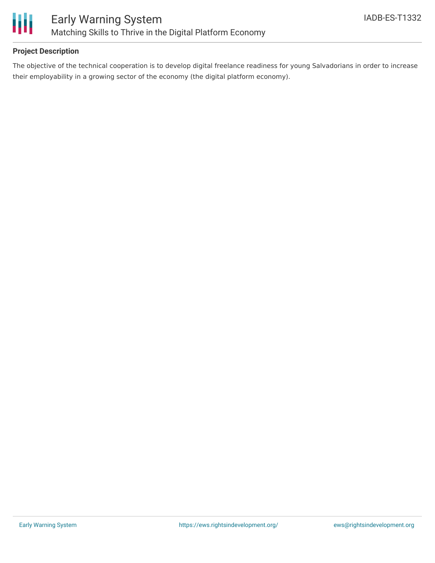

# **Project Description**

The objective of the technical cooperation is to develop digital freelance readiness for young Salvadorians in order to increase their employability in a growing sector of the economy (the digital platform economy).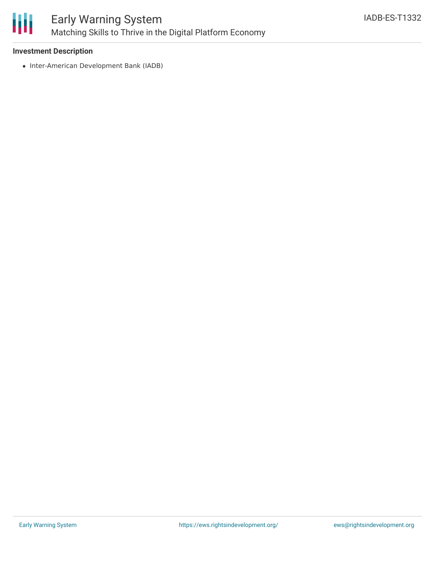

### **Investment Description**

• Inter-American Development Bank (IADB)